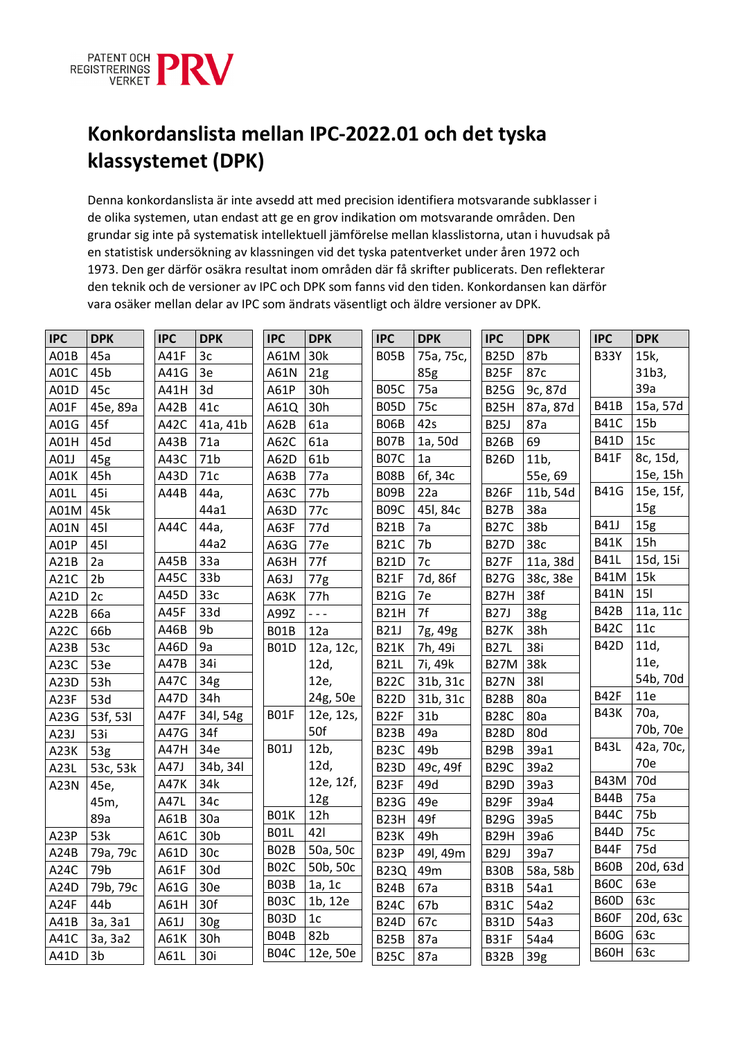

## **Konkordanslista mellan IPC-2022.01 och det tyska klassystemet (DPK)**

Denna konkordanslista är inte avsedd att med precision identifiera motsvarande subklasser i de olika systemen, utan endast att ge en grov indikation om motsvarande områden. Den grundar sig inte på systematisk intellektuell jämförelse mellan klasslistorna, utan i huvudsak på en statistisk undersökning av klassningen vid det tyska patentverket under åren 1972 och 1973. Den ger därför osäkra resultat inom områden där få skrifter publicerats. Den reflekterar den teknik och de versioner av IPC och DPK som fanns vid den tiden. Konkordansen kan därför vara osäker mellan delar av IPC som ändrats väsentligt och äldre versioner av DPK.

| <b>IPC</b> | <b>DPK</b>      | <b>IPC</b> | <b>DPK</b>      | <b>IPC</b>        | <b>DPK</b>      | <b>IPC</b>        | <b>DPK</b>      | <b>IPC</b>        | <b>DPK</b> | <b>IPC</b>  | <b>DPK</b>      |
|------------|-----------------|------------|-----------------|-------------------|-----------------|-------------------|-----------------|-------------------|------------|-------------|-----------------|
| A01B       | 45a             | A41F       | 3c              | A61M              | 30k             | B05B              | 75a, 75c,       | <b>B25D</b>       | 87b        | <b>B33Y</b> | 15k,            |
| A01C       | 45b             | A41G       | 3e              | A61N              | 21g             |                   | 85g             | <b>B25F</b>       | 87c        |             | 31b3,           |
| A01D       | 45c             | A41H       | 3d              | A61P              | 30h             | <b>B05C</b>       | 75a             | <b>B25G</b>       | 9c, 87d    |             | 39a             |
| A01F       | 45e, 89a        | A42B       | 41c             | A61Q              | 30h             | <b>B05D</b>       | 75c             | B <sub>25</sub> H | 87a, 87d   | <b>B41B</b> | 15a, 57d        |
| A01G       | 45f             | A42C       | 41a, 41b        | A62B              | 61a             | <b>B06B</b>       | 42s             | <b>B25J</b>       | 87a        | <b>B41C</b> | 15 <sub>b</sub> |
| A01H       | 45d             | A43B       | 71a             | A62C              | 61a             | <b>B07B</b>       | 1a, 50d         | <b>B26B</b>       | 69         | <b>B41D</b> | 15c             |
| A01J       | 45g             | A43C       | 71 <sub>b</sub> | A62D              | 61 <sub>b</sub> | <b>B07C</b>       | 1a              | <b>B26D</b>       | 11b,       | <b>B41F</b> | 8c, 15d,        |
| A01K       | 45h             | A43D       | 71c             | A63B              | 77a             | <b>B08B</b>       | 6f, 34c         |                   | 55e, 69    |             | 15e, 15h        |
| A01L       | 45i             | A44B       | 44a,            | A63C              | 77b             | B09B              | 22a             | <b>B26F</b>       | 11b, 54d   | <b>B41G</b> | 15e, 15f,       |
| A01M       | 45k             |            | 44a1            | A63D              | 77c             | B09C              | 45I, 84c        | <b>B27B</b>       | 38a        |             | 15g             |
| A01N       | 45I             | A44C       | 44a,            | A63F              | 77d             | <b>B21B</b>       | 7a              | <b>B27C</b>       | 38b        | <b>B41J</b> | 15g             |
| A01P       | 45I             |            | 44a2            | A63G              | 77e             | <b>B21C</b>       | 7b              | <b>B27D</b>       | 38c        | <b>B41K</b> | 15h             |
| A21B       | 2a              | A45B       | 33a             | A63H              | 77f             | <b>B21D</b>       | 7c              | <b>B27F</b>       | 11a, 38d   | <b>B41L</b> | 15d, 15i        |
| A21C       | 2 <sub>b</sub>  | A45C       | 33 <sub>b</sub> | A63J              | 77g             | <b>B21F</b>       | 7d, 86f         | <b>B27G</b>       | 38c, 38e   | <b>B41M</b> | 15k             |
| A21D       | 2c              | A45D       | 33c             | A63K              | 77h             | <b>B21G</b>       | 7e              | <b>B27H</b>       | 38f        | <b>B41N</b> | <b>151</b>      |
| A22B       | 66a             | A45F       | 33d             | A99Z              | $  -$           | B <sub>21</sub> H | 7f              | <b>B27J</b>       | 38g        | B42B        | 11a, 11c        |
| A22C       | 66b             | A46B       | 9b              | <b>B01B</b>       | 12a             | <b>B21J</b>       | 7g, 49g         | <b>B27K</b>       | 38h        | <b>B42C</b> | 11c             |
| A23B       | 53c             | A46D       | 9a              | <b>B01D</b>       | 12a, 12c,       | <b>B21K</b>       | 7h, 49i         | <b>B27L</b>       | 38i        | <b>B42D</b> | 11d,            |
| A23C       | 53e             | A47B       | 34i             |                   | 12d,            | <b>B21L</b>       | 7i, 49k         | <b>B27M</b>       | 38k        |             | 11e,            |
| A23D       | 53h             | A47C       | 34g             |                   | 12e,            | <b>B22C</b>       | 31b, 31c        | <b>B27N</b>       | 381        |             | 54b, 70d        |
| A23F       | 53d             | A47D       | 34h             |                   | 24g, 50e        | <b>B22D</b>       | 31b, 31c        | <b>B28B</b>       | 80a        | <b>B42F</b> | 11e             |
| A23G       | 53f, 53l        | A47F       | 34l, 54g        | <b>B01F</b>       | 12e, 12s,       | B <sub>2</sub> 2F | 31 <sub>b</sub> | <b>B28C</b>       | 80a        | <b>B43K</b> | 70a,            |
| A23J       | 53i             | A47G       | 34f             |                   | 50f             | <b>B23B</b>       | 49a             | <b>B28D</b>       | 80d        |             | 70b, 70e        |
| A23K       | 53g             | A47H       | 34e             | <b>B01J</b>       | 12b,            | <b>B23C</b>       | 49b             | <b>B29B</b>       | 39a1       | <b>B43L</b> | 42a, 70c,       |
| A23L       | 53c, 53k        | A47J       | 34b, 34l        |                   | 12d,            | <b>B23D</b>       | 49c, 49f        | <b>B29C</b>       | 39a2       |             | 70e             |
| A23N       | 45e,            | A47K       | 34k             |                   | 12e, 12f,       | B <sub>23F</sub>  | 49d             | <b>B29D</b>       | 39a3       | <b>B43M</b> | 70d             |
|            | 45m,            | A47L       | 34c             |                   | 12g             | <b>B23G</b>       | 49e             | B <sub>29F</sub>  | 39a4       | <b>B44B</b> | 75a             |
|            | 89a             | A61B       | 30a             | <b>B01K</b>       | 12h             | B <sub>23</sub> H | 49f             | <b>B29G</b>       | 39a5       | <b>B44C</b> | 75b             |
| A23P       | 53k             | A61C       | 30 <sub>b</sub> | <b>B01L</b>       | 421             | B <sub>23</sub> K | 49h             | B <sub>29</sub> H | 39a6       | <b>B44D</b> | 75c             |
| A24B       | 79a, 79c        | A61D       | 30c             | BO2B              | 50a, 50c        | B <sub>23</sub> P | 49l, 49m        | <b>B29J</b>       | 39a7       | <b>B44F</b> | 75d             |
| A24C       | 79 <sub>b</sub> | A61F       | 30d             | B <sub>02</sub> C | 50b, 50c        | <b>B23Q</b>       | 49m             | <b>B30B</b>       | 58a, 58b   | B60B        | 20d, 63d        |
| A24D       | 79b, 79c        | A61G       | 30e             | B03B              | 1a, 1c          | <b>B24B</b>       | 67a             | <b>B31B</b>       | 54a1       | <b>B60C</b> | 63e             |
| A24F       | 44b             | A61H       | 30f             | B03C              | 1b, 12e         | <b>B24C</b>       | 67b             | <b>B31C</b>       | 54a2       | <b>B60D</b> | 63c             |
| A41B       | 3a, 3a1         | A61J       | 30 <sub>g</sub> | B03D              | 1 <sub>c</sub>  | <b>B24D</b>       | 67c             | <b>B31D</b>       | 54a3       | B60F        | 20d, 63c        |
| A41C       | 3a, 3a2         | A61K       | 30h             | <b>B04B</b>       | 82b             | <b>B25B</b>       | 87a             | <b>B31F</b>       | 54a4       | <b>B60G</b> | 63c             |
| A41D       | 3b              | A61L       | 30i             | B04C              | 12e, 50e        | <b>B25C</b>       | 87a             | <b>B32B</b>       | 39g        | B60H        | 63c             |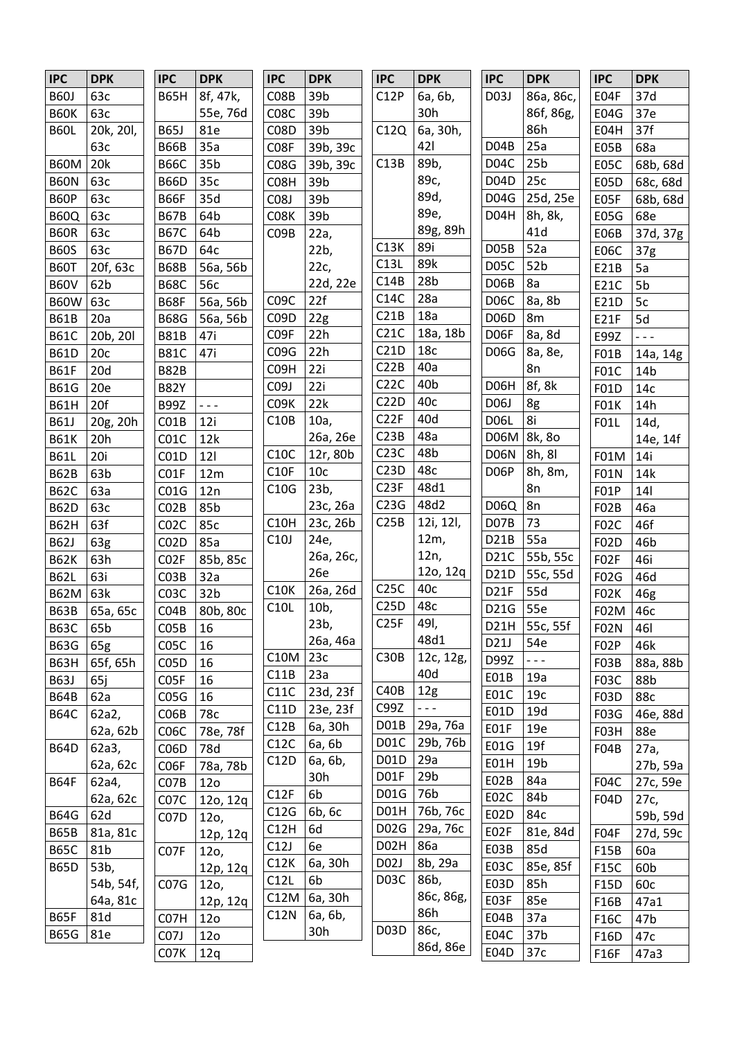| <b>IPC</b>  | <b>DPK</b>      | <b>IPC</b>        | <b>DPK</b>      | <b>IPC</b>        | <b>DPK</b>      | <b>IPC</b>        | <b>DPK</b>        | <b>IPC</b>        | <b>DPK</b>           | <b>IPC</b>        | <b>DPK</b>      |
|-------------|-----------------|-------------------|-----------------|-------------------|-----------------|-------------------|-------------------|-------------------|----------------------|-------------------|-----------------|
| <b>B60J</b> | 63c             | <b>B65H</b>       | 8f, 47k,        | C <sub>0</sub> 8B | 39b             | C12P              | 6a, 6b,           | D03J              | 86а, 86с,            | E04F              | 37d             |
| <b>B60K</b> | 63c             |                   | 55e, 76d        | C <sub>0</sub> 8C | 39b             |                   | 30h               |                   | 86f, 86g,            | <b>E04G</b>       | 37e             |
| <b>B60L</b> | 20k, 20l,       | <b>B65J</b>       | 81e             | C08D              | 39b             | C12Q              | 6a, 30h,          |                   | 86h                  | E04H              | 37f             |
|             | 63c             | <b>B66B</b>       | 35a             | C08F              | 39b, 39c        |                   | 421               | D04B              | 25a                  | E05B              | 68a             |
| <b>B60M</b> | 20k             | <b>B66C</b>       | 35 <sub>b</sub> | C08G              | 39b, 39c        | C13B              | 89b,              | D <sub>04</sub> C | 25 <sub>b</sub>      | <b>E05C</b>       | 68b, 68d        |
| <b>B60N</b> | 63c             | <b>B66D</b>       | 35c             | C08H              | 39b             |                   | 89с,              | D04D              | 25c                  | <b>E05D</b>       | 68c, 68d        |
| <b>B60P</b> | 63c             | <b>B66F</b>       | 35d             | C08J              | 39b             |                   | 89d,              | D04G              | 25d, 25e             | E05F              | 68b, 68d        |
| <b>B60Q</b> | 63c             | <b>B67B</b>       | 64b             | C08K              | 39b             |                   | 89e,              | D04H              | 8h, 8k,              | <b>E05G</b>       | 68e             |
| <b>B60R</b> | 63c             | <b>B67C</b>       | 64b             | C <sub>09</sub> B | 22a,            |                   | 89g, 89h          |                   | 41d                  | E06B              | 37d, 37g        |
| <b>B60S</b> | 63c             | <b>B67D</b>       | 64c             |                   | 22b,            | C13K              | 89i               | D <sub>05</sub> B | 52a                  | <b>E06C</b>       | 37 <sub>g</sub> |
| <b>B60T</b> | 20f, 63c        | <b>B68B</b>       | 56a, 56b        |                   | 22c,            | C13L              | 89k               | D05C              | 52b                  | E21B              | 5a              |
| <b>B60V</b> | 62b             | <b>B68C</b>       | 56с             |                   | 22d, 22e        | C14B              | 28 <sub>b</sub>   | D06B              | 8a                   | E21C              | 5b              |
| <b>B60W</b> | 63c             | <b>B68F</b>       | 56a, 56b        | C <sub>0</sub> 9C | 22f             | C14C              | 28a               | D06C              | 8a, 8b               | E21D              | 5c              |
| <b>B61B</b> | 20a             | <b>B68G</b>       | 56a, 56b        | C <sub>0</sub> 9D | 22g             | C21B              | 18a               | D <sub>06</sub> D | 8m                   | E21F              | 5d              |
| <b>B61C</b> | 20b, 20l        | <b>B81B</b>       | 47i             | C09F              | 22h             | C21C              | 18a, 18b          | D06F              | 8a, 8d               | E99Z              | $- - -$         |
| <b>B61D</b> | 20c             | <b>B81C</b>       | 47i             | C09G              | 22h             | C21D              | 18 <sub>c</sub>   | <b>D06G</b>       | 8a, 8e,              | F01B              | 14a, 14g        |
| <b>B61F</b> | 20d             | <b>B82B</b>       |                 | C09H              | 22i             | C22B              | 40a               |                   | 8n                   | <b>F01C</b>       | 14 <sub>b</sub> |
| <b>B61G</b> | 20e             | <b>B82Y</b>       |                 | C09J              | 22i             | C22C              | 40 <sub>b</sub>   | D06H              | 8f, 8k               | F01D              | 14c             |
| <b>B61H</b> | 20f             | <b>B99Z</b>       | $- - -$         | C09K              | 22k             | C22D              | 40c               | D06J              | 8g                   | <b>F01K</b>       | 14h             |
| <b>B61J</b> | 20g, 20h        | CO1B              | 12i             | C10B              | 10a,            | C <sub>2</sub> 2F | 40d               | <b>D06L</b>       | 8i                   | <b>F01L</b>       | 14d,            |
| <b>B61K</b> | 20h             | CO1C              | 12k             |                   | 26a, 26e        | C23B              | 48a               | <b>D06M</b>       | 8k, 8o               |                   | 14e, 14f        |
| <b>B61L</b> | 20i             | CO1D              | 121             | C10C              | 12r, 80b        | C <sub>23C</sub>  | 48b               | D06N              | 8h, 8l               | F01M              | 14i             |
| <b>B62B</b> | 63 <sub>b</sub> | CO1F              | 12m             | C10F              | 10 <sub>c</sub> | C23D              | 48c               | D06P              | 8h, 8m,              | <b>F01N</b>       | 14k             |
| <b>B62C</b> | 63a             | CO1G              | 12n             | C10G              | 23b,            | C <sub>2</sub> 3F | 48d1              |                   | 8n                   | F01P              | 14              |
| <b>B62D</b> | 63c             | CO2B              | 85b             |                   | 23c, 26a        | C23G              | 48d2              | D06Q              | 8n                   | <b>F02B</b>       | 46a             |
| <b>B62H</b> | 63f             | C <sub>02</sub> C | 85c             | C10H              | 23c, 26b        | C25B              | 12i, 12l,         | D07B              | 73                   | F02C              | 46f             |
| <b>B62J</b> | 63g             | C <sub>02</sub> D | 85a             | C10J              | 24e,            |                   | 12m,              | D21B              | 55a                  | F02D              | 46b             |
| <b>B62K</b> | 63h             | C <sub>02</sub> F | 85b, 85c        |                   | 26a, 26c,       |                   | 12n,              | D <sub>21</sub> C | 55b, 55c             | FO <sub>2</sub> F | 46i             |
| <b>B62L</b> | 63i             | CO3B              | 32a             |                   | 26e             |                   | 12o, 12q          | D21D              | 55c, 55d             | F02G              | 46d             |
| <b>B62M</b> | 63k             | CO3C              | 32 <sub>b</sub> | C10K              | 26a, 26d        | C25C              | 40c               | D <sub>21</sub> F | 55d                  | <b>F02K</b>       | 46g             |
| <b>B63B</b> | 65a, 65c        | CO4B              | 80b, 80c        | C10L              | 10 <sub>b</sub> | C25D              | 48c               | D21G              | 55e                  | F02M              | 46с             |
| <b>B63C</b> | 65b             | CO5B              | 16              |                   | 23b,            | C <sub>25F</sub>  | 49I,              |                   | D21H 55c, 55f        | <b>F02N</b>       | 46I             |
| <b>B63G</b> | 65g             | C <sub>05</sub> C | 16              |                   | 26a, 46a        |                   | 48d1              | D21J              | 54e                  | F02P              | 46k             |
| <b>B63H</b> | 65f, 65h        | C05D              | 16              | <b>C10M</b>       | 23c             | C30B              | 12c, 12g,         | D99Z              | $\omega$ is $\omega$ | F03B              | 88a, 88b        |
| <b>B63J</b> | 65j             | C <sub>05</sub> F | 16              | C11B              | 23a             |                   | 40d               | E01B              | 19a                  | <b>F03C</b>       | 88b             |
| <b>B64B</b> | 62a             | CO5G              | 16              | C11C              | 23d, 23f        | C40B              | 12g               | E01C              | 19 <sub>c</sub>      | F03D              | 88c             |
| <b>B64C</b> | 62a2,           | CO6B              | 78c             | C11D              | 23e, 23f        | C99Z              | $\omega = \omega$ | E01D              | 19d                  | F03G              | 46e, 88d        |
|             | 62a, 62b        | C <sub>06</sub> C | 78e, 78f        | C12B              | 6a, 30h         | D01B              | 29a, 76a          | E01F              | 19e                  | F03H              | 88e             |
| <b>B64D</b> | 62a3,           | C <sub>06</sub> D | 78d             | C12C              | 6a, 6b          | D <sub>01</sub> C | 29b, 76b          | E01G              | 19f                  | F04B              | 27a,            |
|             | 62a, 62c        | C <sub>06F</sub>  | 78a, 78b        | C12D              | 6a, 6b,         | <b>D01D</b>       | 29a               | E01H              | 19 <sub>b</sub>      |                   | 27b, 59a        |
| <b>B64F</b> | 62a4,           | C <sub>07</sub> B | 12 <sub>o</sub> |                   | 30h             | D01F              | 29 <sub>b</sub>   | E02B              | 84a                  | F04C              | 27c, 59e        |
|             | 62a, 62c        | C <sub>07</sub> C | 12o, 12q        | C12F              | 6b              | <b>D01G</b>       | 76b               | E02C              | 84b                  | F04D              | 27c,            |
| <b>B64G</b> | 62d             | C07D              | 120,            | C12G              | 6b, 6c          | D01H              | 76b, 76c          | E02D              | 84c                  |                   | 59b, 59d        |
| <b>B65B</b> | 81a, 81c        |                   | 12p, 12q        | C12H              | 6d              | D <sub>02</sub> G | 29a, 76c          | E02F              | 81e, 84d             | F04F              | 27d, 59c        |
| <b>B65C</b> | 81b             | C <sub>07</sub> F | 120,            | C12J              | 6e              | D <sub>02</sub> H | 86a               | E03B              | 85d                  | F15B              | 60a             |
| <b>B65D</b> | 53b,            |                   | 12p, 12q        | C12K              | 6a, 30h         | D02J              | 8b, 29a           | E03C              | 85e, 85f             | <b>F15C</b>       | 60b             |
|             | 54b, 54f,       | CO7G              | 12o,            | C12L              | 6b              | D <sub>03</sub> C | 86b,              | E03D              | 85h                  | F15D              | 60c             |
|             | 64a, 81c        |                   | 12p, 12q        | C12M              | 6a, 30h         |                   | 86c, 86g,         | E03F              | 85e                  | F16B              | 47a1            |
| <b>B65F</b> | 81d             | C07H              | 12 <sub>0</sub> | C12N              | 6a, 6b,         |                   | 86h               | E04B              | 37a                  | F16C              | 47b             |
| <b>B65G</b> | 81e             | C <sub>07</sub> J | 12 <sub>0</sub> |                   | 30h             | D <sub>03</sub> D | 86c,              | E04C              | 37 <sub>b</sub>      | F16D              | 47c             |
|             |                 | C07K              | 12q             |                   |                 |                   | 86d, 86e          | E04D              | 37c                  | <b>F16F</b>       | 47a3            |